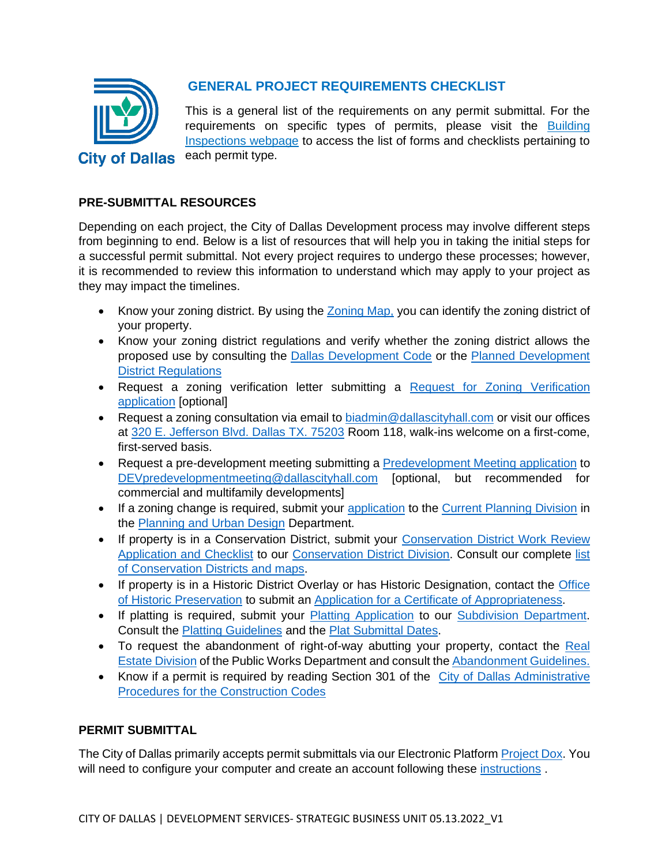

# **GENERAL PROJECT REQUIREMENTS CHECKLIST**

This is a general list of the requirements on any permit submittal. For the requirements on specific types of permits, please visit the **Building** [Inspections webpage](https://dallascityhall.com/departments/sustainabledevelopment/Pages/formsdept.aspx) to access the list of forms and checklists pertaining to each permit type.

## **PRE-SUBMITTAL RESOURCES**

Depending on each project, the City of Dallas Development process may involve different steps from beginning to end. Below is a list of resources that will help you in taking the initial steps for a successful permit submittal. Not every project requires to undergo these processes; however, it is recommended to review this information to understand which may apply to your project as they may impact the timelines.

- Know your zoning district. By using the [Zoning Map,](https://gis.dallascityhall.com/ZoningWeb/) you can identify the zoning district of your property.
- Know your zoning district regulations and verify whether the zoning district allows the proposed use by consulting the [Dallas Development Code](https://codelibrary.amlegal.com/codes/dallas/latest/dallas_tx/0-0-0-1) or the [Planned Development](https://dallascityhall.com/departments/city-attorney/Pages/articles-data.aspx)  [District Regulations](https://dallascityhall.com/departments/city-attorney/Pages/articles-data.aspx)
- Request a zoning verification letter submitting a [Request for Zoning Verification](https://dallascityhall.com/departments/sustainabledevelopment/DCH%20documents/pdf/RequestLetter_ZoningVerification.pdf)  [application](https://dallascityhall.com/departments/sustainabledevelopment/DCH%20documents/pdf/RequestLetter_ZoningVerification.pdf) [optional]
- Request a zoning consultation via email to [biadmin@dallascityhall.com](mailto:biadmin@dallascityhall.com) or visit our offices at [320 E. Jefferson Blvd. Dallas TX. 75203](https://www.google.com/maps/place/320+E+Jefferson+Blvd,+Dallas,+TX+75203/@32.7447981,-96.8191107,17z/data=!3m1!4b1!4m5!3m4!1s0x864e9990d3c41fed:0x6cf6fb56312bc031!8m2!3d32.7447981!4d-96.8191107) Room 118, walk-ins welcome on a first-come, first-served basis.
- Request a pre-development meeting submitting a [Predevelopment Meeting application](https://dallascityhall.com/departments/sustainabledevelopment/strategic_business_unit/DCH%20Documents/PreDev%20Application%20and%20Checklist%20Revised%2004.05.2022.pdf) to [DEVpredevelopmentmeeting@dallascityhall.com](mailto:DEVpredevelopmentmeeting@dallascityhall.com) [optional, but recommended for commercial and multifamily developments]
- If a zoning change is required, submit your [application](https://dallascityhall.com/departments/sustainabledevelopment/planning/DCH%20Documents/April_2019_combined.pdf) to the [Current Planning Division](https://dallascityhall.com/departments/pnv/Pages/current-planning.aspx) in the [Planning and Urban Design](https://dallascityhall.com/departments/pnv/Pages/default.aspx) Department.
- If property is in a Conservation District, submit your Conservation District Work Review [Application and Checklist](https://dallascityhall.com/departments/sustainabledevelopment/planning/DCH%20Documents/conservation%20districts/CD_Work_Review_Application_and_Checklist.pdf) to our [Conservation District Division.](https://dallascityhall.com/departments/pnv/Pages/Conservation-Districts.aspx) Consult our complete [list](https://dallascityhall.com/departments/pnv/Pages/Con-Ordinances.aspx)  [of Conservation Districts and maps.](https://dallascityhall.com/departments/pnv/Pages/Con-Ordinances.aspx)
- If property is in a Historic District Overlay or has Historic Designation, contact the Office [of Historic Preservation](https://dallascityhall.com/departments/sustainabledevelopment/historicpreservation/Pages/default.aspx) to submit an [Application for a Certificate of Appropriateness.](https://dallascityhall.com/departments/sustainabledevelopment/historicpreservation/HP%20Documents/Applications%20Page/CA%20Application%20and%20CHECKLIST.pdf)
- If platting is required, submit your [Platting Application](https://dallascityhall.com/departments/sustainabledevelopment/subdivision/DCH%20Documents/PLAT%20APPLICATION%20RevisedDR_7.2.19_KEVINTEST.doc) to our [Subdivision Department.](https://dallascityhall.com/departments/sustainabledevelopment/subdivision/Pages/default.aspx) Consult the [Platting Guidelines](https://dallascityhall.com/departments/sustainabledevelopment/subdivision/DCH%20Documents/PLAT%20GUIDELINES%20January%202022.doc) and the [Plat Submittal Dates.](https://dallascityhall.com/departments/sustainabledevelopment/subdivision/DCH%20Documents/2022%20Plat%20Submittal%20Calendar%20%28public%20release%29.docx)
- To request the abandonment of right-of-way abutting your property, contact the Real [Estate Division](https://dallascityhall.com/departments/public-works/realestate/Pages/newly-created/default.aspx) of the Public Works Department and consult the [Abandonment Guidelines.](https://dallascityhall.com/departments/public-works/realestate/DCH%20Documents/ENG_Abandonment_Checklist_Revised-9-15-2020-(Final).pdf)
- Know if a permit is required by reading Section 301 of the City of Dallas Administrative [Procedures for the Construction Codes](https://dallascityhall.com/departments/sustainabledevelopment/buildinginspection/DCH%20documents/pdf/BI_Chapter%2052%20Amendments.pdf)

### **PERMIT SUBMITTAL**

The City of Dallas primarily accepts permit submittals via our Electronic Platfor[m Project Dox.](https://plansubmittal.dallascityhall.com/ProjectDoxPortalWebUI/Login) You will need to configure your computer and create an account following these [instructions](https://dallascityhall.com/departments/sustainabledevelopment/buildinginspection/DCH%20documents/pdf/City%20of%20Dallas%20Electronic%20Plan%20Review%20Instruction_2021.pdf).